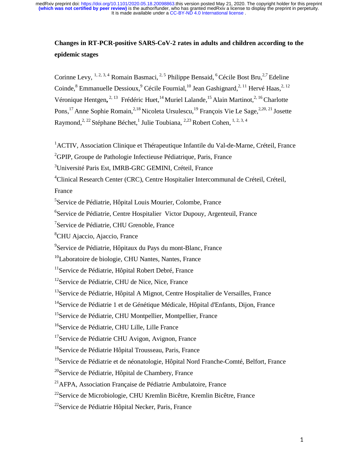# **Changes in RT-PCR-positive SARS-CoV-2 rates in adults and children according to the epidemic stages**

Corinne Levy, <sup>1, 2, 3, 4</sup> Romain Basmaci, <sup>2, 5</sup> Philippe Bensaid, <sup>6</sup> Cécile Bost Bru, <sup>2,7</sup> Edeline Coinde, <sup>8</sup> Emmanuelle Dessioux, <sup>9</sup> Cécile Fournial, <sup>10</sup> Jean Gashignard, <sup>2, 11</sup> Hervé Haas, <sup>2, 12</sup> Véronique Hentgen,<sup>2, 13</sup> Frédéric Huet,<sup>14</sup> Muriel Lalande,<sup>15</sup> Alain Martinot,<sup>2, 16</sup> Charlotte Pons,<sup>17</sup> Anne Sophie Romain,<sup>2,18</sup> Nicoleta Ursulescu,<sup>19</sup> François Vie Le Sage,<sup>2,20, 21</sup> Josette Raymond,<sup>2, 22</sup> Stéphane Béchet,<sup>1</sup> Julie Toubiana, <sup>2,23</sup> Robert Cohen, <sup>1, 2, 3, 4</sup>

<sup>1</sup>ACTIV, Association Clinique et Thérapeutique Infantile du Val-de-Marne, Créteil, France

<sup>2</sup>GPIP, Groupe de Pathologie Infectieuse Pédiatrique, Paris, France

3 Université Paris Est, IMRB-GRC GEMINI, Créteil, France

<sup>4</sup>Clinical Research Center (CRC), Centre Hospitalier Intercommunal de Créteil, Créteil,

France

<sup>5</sup>Service de Pédiatrie, Hôpital Louis Mourier, Colombe, France

6 Service de Pédiatrie, Centre Hospitalier Victor Dupouy, Argenteuil, France

<sup>7</sup>Service de Pédiatrie, CHU Grenoble, France

8 CHU Ajaccio, Ajaccio, France

<sup>9</sup>Service de Pédiatrie, Hôpitaux du Pays du mont-Blanc, France

 $10$ Laboratoire de biologie, CHU Nantes, Nantes, France

<sup>11</sup>Service de Pédiatrie, Hôpital Robert Debré, France

<sup>12</sup>Service de Pédiatrie, CHU de Nice, Nice, France

<sup>13</sup>Service de Pédiatrie, Hôpital A Mignot, Centre Hospitalier de Versailles, France

<sup>14</sup>Service de Pédiatrie 1 et de Génétique Médicale, Hôpital d'Enfants, Dijon, France

<sup>15</sup>Service de Pédiatrie, CHU Montpellier, Montpellier, France

<sup>16</sup>Service de Pédiatrie, CHU Lille, Lille France

<sup>17</sup>Service de Pédiatrie CHU Avigon, Avignon, France

<sup>19</sup>Service de Pédiatrie et de néonatologie, Hôpital Nord Franche-Comté, Belfort, France

<sup>20</sup>Service de Pédiatrie, Hôpital de Chambery, France

 $^{21}$ AFPA, Association Française de Pédiatrie Ambulatoire, France

<sup>22</sup>Service de Microbiologie, CHU Kremlin Bicêtre, Kremlin Bicêtre, France

<sup>22</sup>Service de Pédiatrie Hôpital Necker, Paris, France

<sup>&</sup>lt;sup>18</sup>Service de Pédiatrie Hôpital Trousseau, Paris, France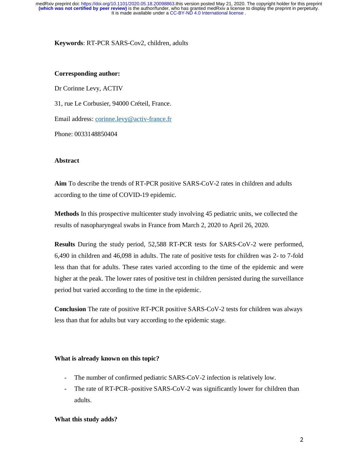**Keywords**: RT-PCR SARS-Cov2, children, adults

### **Corresponding author:**

Dr Corinne Levy, ACTIV 31, rue Le Corbusier, 94000 Créteil, France. Email address: corinne.levy@activ-france.fr Phone: 0033148850404

# **Abstract**

**Aim** To describe the trends of RT-PCR positive SARS-CoV-2 rates in children and adults according to the time of COVID-19 epidemic.

**Methods** In this prospective multicenter study involving 45 pediatric units, we collected the results of nasopharyngeal swabs in France from March 2, 2020 to April 26, 2020.

**Results** During the study period, 52,588 RT-PCR tests for SARS-CoV-2 were performed, 6,490 in children and 46,098 in adults. The rate of positive tests for children was 2- to 7-fold less than that for adults. These rates varied according to the time of the epidemic and were higher at the peak. The lower rates of positive test in children persisted during the surveillance period but varied according to the time in the epidemic.

**Conclusion** The rate of positive RT-PCR positive SARS-CoV-2 tests for children was always less than that for adults but vary according to the epidemic stage.

# **What is already known on this topic?**

- The number of confirmed pediatric SARS-CoV-2 infection is relatively low.
- The rate of RT-PCR–positive SARS-CoV-2 was significantly lower for children than adults.

# **What this study adds?**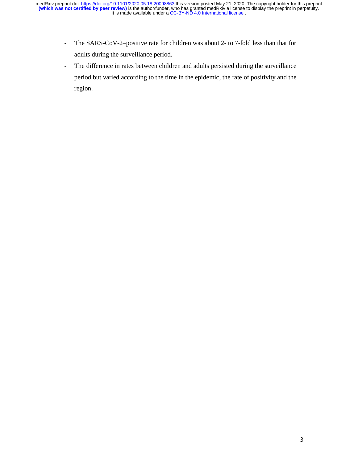- The SARS-CoV-2–positive rate for children was about 2- to 7-fold less than that for adults during the surveillance period.
- The difference in rates between children and adults persisted during the surveillance period but varied according to the time in the epidemic, the rate of positivity and the region.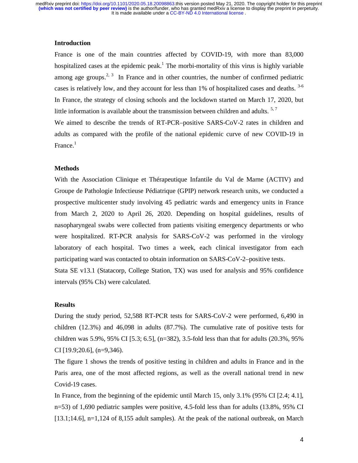## **Introduction**

France is one of the main countries affected by COVID-19, with more than 83,000 hospitalized cases at the epidemic peak.<sup>1</sup> The morbi-mortality of this virus is highly variable among age groups.<sup>2, 3</sup> In France and in other countries, the number of confirmed pediatric cases is relatively low, and they account for less than 1% of hospitalized cases and deaths. <sup>3-6</sup> In France, the strategy of closing schools and the lockdown started on March 17, 2020, but little information is available about the transmission between children and adults.  $5.7$ 

We aimed to describe the trends of RT-PCR–positive SARS-CoV-2 rates in children and adults as compared with the profile of the national epidemic curve of new COVID-19 in France.<sup>1</sup>

#### **Methods**

With the Association Clinique et Thérapeutique Infantile du Val de Marne (ACTIV) and Groupe de Pathologie Infectieuse Pédiatrique (GPIP) network research units, we conducted a prospective multicenter study involving 45 pediatric wards and emergency units in France from March 2, 2020 to April 26, 2020. Depending on hospital guidelines, results of nasopharyngeal swabs were collected from patients visiting emergency departments or who were hospitalized. RT-PCR analysis for SARS-CoV-2 was performed in the virology laboratory of each hospital. Two times a week, each clinical investigator from each participating ward was contacted to obtain information on SARS-CoV-2–positive tests. Stata SE v13.1 (Statacorp, College Station, TX) was used for analysis and 95% confidence

# **Results**

intervals (95% CIs) were calculated.

During the study period, 52,588 RT-PCR tests for SARS-CoV-2 were performed, 6,490 in children (12.3%) and 46,098 in adults (87.7%). The cumulative rate of positive tests for children was 5.9%, 95% CI [5.3; 6.5], (n=382), 3.5-fold less than that for adults (20.3%, 95% CI [19.9;20.6], (n=9,346).

The figure 1 shows the trends of positive testing in children and adults in France and in the Paris area, one of the most affected regions, as well as the overall national trend in new Covid-19 cases.

In France, from the beginning of the epidemic until March 15, only 3.1% (95% CI [2.4; 4.1], n=53) of 1,690 pediatric samples were positive, 4.5-fold less than for adults (13.8%, 95% CI [13.1;14.6], n=1,124 of 8,155 adult samples). At the peak of the national outbreak, on March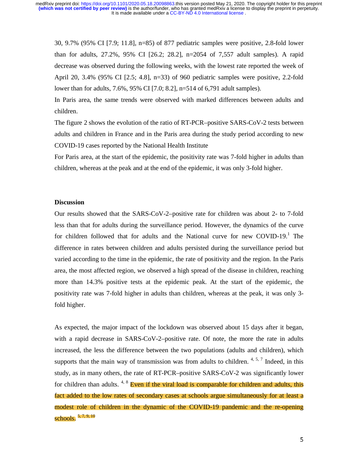30, 9.7% (95% CI [7.9; 11.8], n=85) of 877 pediatric samples were positive, 2.8-fold lower than for adults, 27.2%, 95% CI [26.2; 28.2], n=2054 of 7,557 adult samples). A rapid decrease was observed during the following weeks, with the lowest rate reported the week of April 20, 3.4% (95% CI [2.5; 4.8], n=33) of 960 pediatric samples were positive, 2.2-fold lower than for adults, 7.6%, 95% CI [7.0; 8.2], n=514 of 6,791 adult samples).

In Paris area, the same trends were observed with marked differences between adults and children.

The figure 2 shows the evolution of the ratio of RT-PCR–positive SARS-CoV-2 tests between adults and children in France and in the Paris area during the study period according to new COVID-19 cases reported by the National Health Institute

For Paris area, at the start of the epidemic, the positivity rate was 7-fold higher in adults than children, whereas at the peak and at the end of the epidemic, it was only 3-fold higher.

### **Discussion**

Our results showed that the SARS-CoV-2–positive rate for children was about 2- to 7-fold less than that for adults during the surveillance period. However, the dynamics of the curve for children followed that for adults and the National curve for new COVID-19.<sup>1</sup> The difference in rates between children and adults persisted during the surveillance period but varied according to the time in the epidemic, the rate of positivity and the region. In the Paris area, the most affected region, we observed a high spread of the disease in children, reaching more than 14.3% positive tests at the epidemic peak. At the start of the epidemic, the positivity rate was 7-fold higher in adults than children, whereas at the peak, it was only 3 fold higher.

As expected, the major impact of the lockdown was observed about 15 days after it began, with a rapid decrease in SARS-CoV-2-positive rate. Of note, the more the rate in adults increased, the less the difference between the two populations (adults and children), which supports that the main way of transmission was from adults to children. <sup>4, 5, 7</sup> Indeed, in this study, as in many others, the rate of RT-PCR–positive SARS-CoV-2 was significantly lower for children than adults.  $4.8$  Even if the viral load is comparable for children and adults, this fact added to the low rates of secondary cases at schools argue simultaneously for at least a modest role of children in the dynamic of the COVID-19 pandemic and the re-opening schools. 5, 7, 9, 10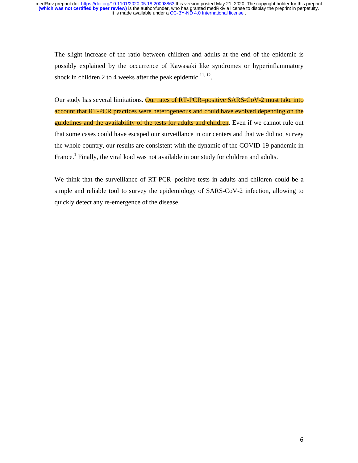The slight increase of the ratio between children and adults at the end of the epidemic is possibly explained by the occurrence of Kawasaki like syndromes or hyperinflammatory shock in children 2 to 4 weeks after the peak epidemic  $11, 12$ .

Our study has several limitations. Our rates of RT-PCR–positive SARS-CoV-2 must take into account that RT-PCR practices were heterogeneous and could have evolved depending on the guidelines and the availability of the tests for adults and children. Even if we cannot rule out that some cases could have escaped our surveillance in our centers and that we did not survey the whole country, our results are consistent with the dynamic of the COVID-19 pandemic in France.<sup>1</sup> Finally, the viral load was not available in our study for children and adults.

We think that the surveillance of RT-PCR–positive tests in adults and children could be a simple and reliable tool to survey the epidemiology of SARS-CoV-2 infection, allowing to quickly detect any re-emergence of the disease.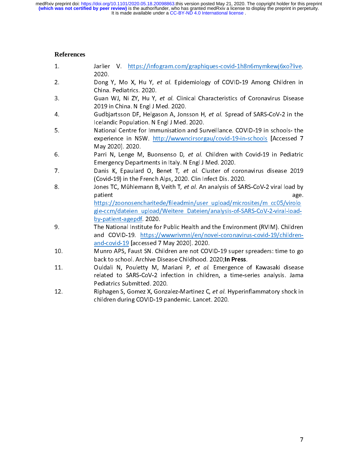## **References**

| 1.  | V. https://infogram.com/graphiques-covid-1h8n6mymkewj6xo?live.<br>Jarlier<br>2020.                                                                                                                                                                                                    |
|-----|---------------------------------------------------------------------------------------------------------------------------------------------------------------------------------------------------------------------------------------------------------------------------------------|
| 2.  | Dong Y, Mo X, Hu Y, et al. Epidemiology of COVID-19 Among Children in<br>China. Pediatrics. 2020.                                                                                                                                                                                     |
| 3.  | Guan WJ, Ni ZY, Hu Y, et al. Clinical Characteristics of Coronavirus Disease<br>2019 in China. N Engl J Med. 2020.                                                                                                                                                                    |
| 4.  | Gudbjartsson DF, Helgason A, Jonsson H, et al. Spread of SARS-CoV-2 in the<br>Icelandic Population. N Engl J Med. 2020.                                                                                                                                                               |
| 5.  | National Centre for Immunisation and Surveillance. COVID-19 in schools- the<br>experience in NSW. http://wwwncirsorgau/covid-19-in-schools [Accessed 7<br>May 2020]. 2020.                                                                                                            |
| 6.  | Parri N, Lenge M, Buonsenso D, et al. Children with Covid-19 in Pediatric<br>Emergency Departments in Italy. N Engl J Med. 2020.                                                                                                                                                      |
| 7.  | Danis K, Epaulard O, Benet T, et al. Cluster of coronavirus disease 2019<br>(Covid-19) in the French Alps, 2020. Clin Infect Dis. 2020.                                                                                                                                               |
| 8.  | Jones TC, Mühlemann B, Veith T, et al. An analysis of SARS-CoV-2 viral load by<br>patient<br>age.<br>https://zoonosencharitede/fileadmin/user_upload/microsites/m_cc05/virolo<br>gie-ccm/dateien upload/Weitere Dateien/analysis-of-SARS-CoV-2-viral-load-<br>by-patient-agepdf 2020. |
| 9.  | The National Institute for Public Health and the Environment (RVIM). Children<br>and COVID-19. https://wwwrivmnl/en/novel-coronavirus-covid-19/children-<br>and-covid-19 [accessed 7 May 2020]. 2020.                                                                                 |
| 10. | Munro APS, Faust SN. Children are not COVID-19 super spreaders: time to go<br>back to school. Archive Disease Childhood. 2020; In Press.                                                                                                                                              |
| 11. | Ouldali N, Pouletty M, Mariani P, et al. Emergence of Kawasaki disease<br>related to SARS-CoV-2 infection in children, a time-series analysis. Jama<br>Pediatrics Submitted. 2020.                                                                                                    |
| 12. | Riphagen S, Gomez X, Gonzalez-Martinez C, et al. Hyperinflammatory shock in<br>children during COVID-19 pandemic. Lancet. 2020.                                                                                                                                                       |
|     |                                                                                                                                                                                                                                                                                       |
|     |                                                                                                                                                                                                                                                                                       |

children during COVID-19 pandemic. Lancet. 2020.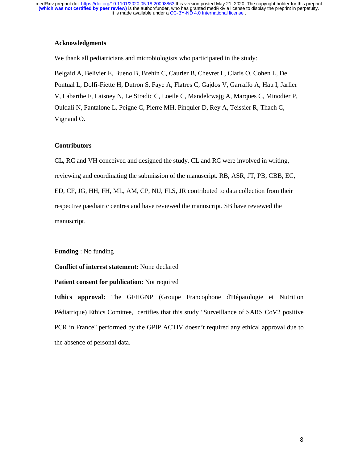### **Acknowledgments**

We thank all pediatricians and microbiologists who participated in the study:

Belgaid A, Belivier E, Bueno B, Brehin C, Caurier B, Chevret L, Claris O, Cohen L, De Pontual L, Dolfi-Fiette H, Dutron S, Faye A, Flatres C, Gajdos V, Garraffo A, Hau I, Jarlier V, Labarthe F, Laisney N, Le Stradic C, Loeile C, Mandelcwajg A, Marques C, Minodier P, Ouldali N, Pantalone L, Peigne C, Pierre MH, Pinquier D, Rey A, Teissier R, Thach C, Vignaud O.

### **Contributors**

CL, RC and VH conceived and designed the study. CL and RC were involved in writing, reviewing and coordinating the submission of the manuscript. RB, ASR, JT, PB, CBB, EC, ED, CF, JG, HH, FH, ML, AM, CP, NU, FLS, JR contributed to data collection from their respective paediatric centres and have reviewed the manuscript. SB have reviewed the manuscript.

**Funding** : No funding

**Conflict of interest statement:** None declared

#### **Patient consent for publication:** Not required

**Ethics approval:** The GFHGNP (Groupe Francophone d'Hépatologie et Nutrition Pédiatrique) Ethics Comittee, certifies that this study "Surveillance of SARS CoV2 positive PCR in France" performed by the GPIP ACTIV doesn't required any ethical approval due to the absence of personal data.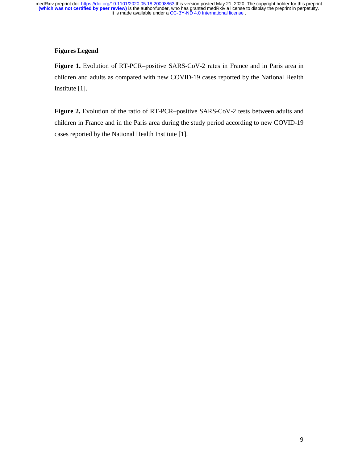# **Figures Legend**

**Figure 1.** Evolution of RT-PCR–positive SARS-CoV-2 rates in France and in Paris area in children and adults as compared with new COVID-19 cases reported by the National Health Institute [1].

Figure 2. Evolution of the ratio of RT-PCR–positive SARS-CoV-2 tests between adults and children in France and in the Paris area during the study period according to new COVID-19 cases reported by the National Health Institute [1].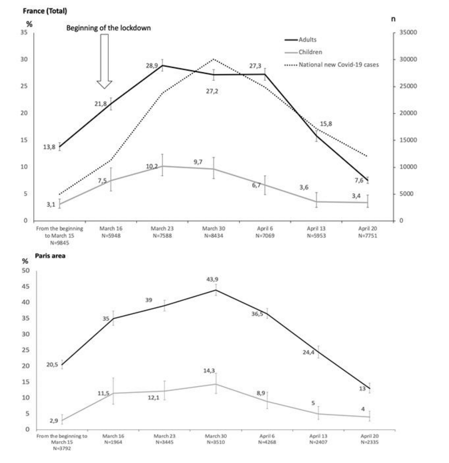France (Total)



'n